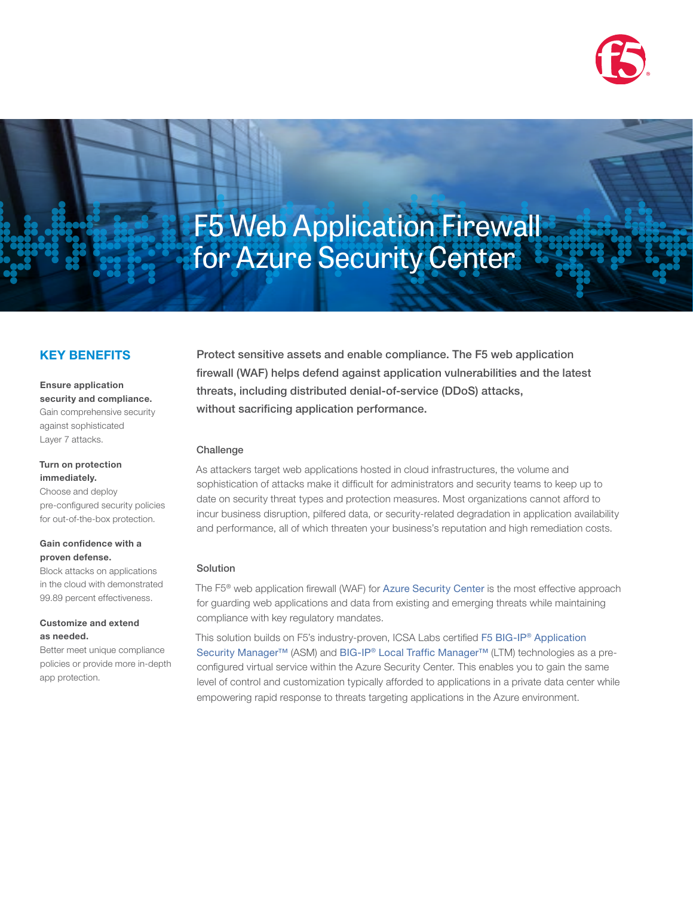

# F5 Web Application Firewall for Azure Security Center

# KEY BENEFITS

Ensure application security and compliance. Gain comprehensive security against sophisticated Layer 7 attacks.

#### Turn on protection immediately.

Choose and deploy pre-configured security policies for out-of-the-box protection.

### Gain confidence with a proven defense.

Block attacks on applications in the cloud with demonstrated 99.89 percent effectiveness.

#### Customize and extend as needed.

Better meet unique compliance policies or provide more in-depth app protection.

Protect sensitive assets and enable compliance. The F5 web application firewall (WAF) helps defend against application vulnerabilities and the latest threats, including distributed denial-of-service (DDoS) attacks, without sacrificing application performance.

## Challenge

As attackers target web applications hosted in cloud infrastructures, the volume and sophistication of attacks make it difficult for administrators and security teams to keep up to date on security threat types and protection measures. Most organizations cannot afford to incur business disruption, pilfered data, or security-related degradation in application availability and performance, all of which threaten your business's reputation and high remediation costs.

#### Solution

The F5® web application firewall (WAF) for [Azure Security Center](https://azure.microsoft.com/en-us/campaigns/security-center/) is the most effective approach for guarding web applications and data from existing and emerging threats while maintaining compliance with key regulatory mandates.

This solution builds on F5's industry-proven, ICSA Labs certified [F5 BIG-IP® Application](https://f5.com/products/modules/application-security-manager)  [Security Manager™](https://f5.com/products/modules/application-security-manager) (ASM) and [BIG-IP® Local Traffic Manager™](https://f5.com/products/modules/local-traffic-manager) (LTM) technologies as a preconfigured virtual service within the Azure Security Center. This enables you to gain the same level of control and customization typically afforded to applications in a private data center while empowering rapid response to threats targeting applications in the Azure environment.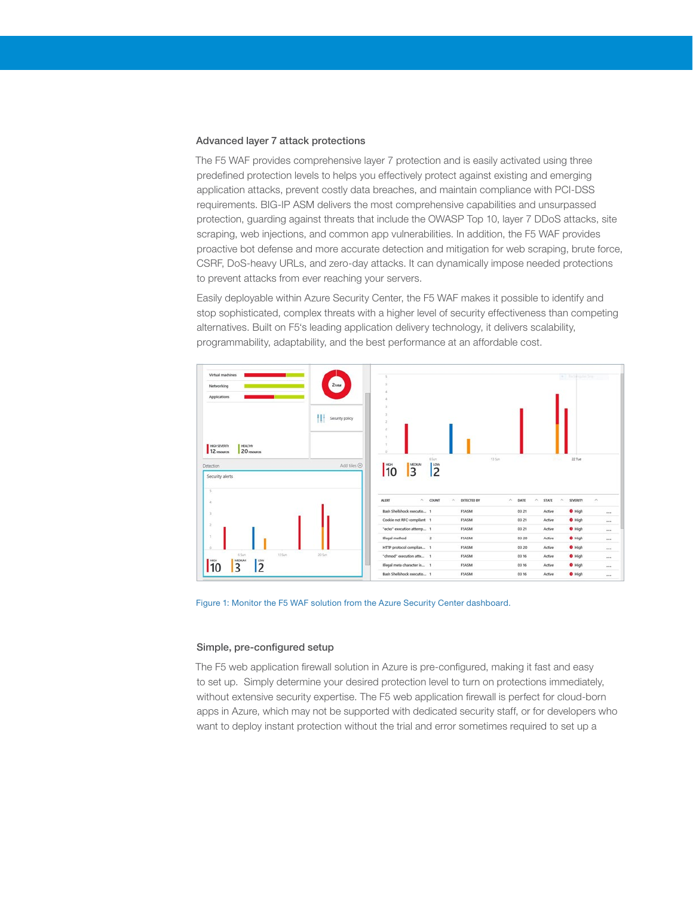#### Advanced layer 7 attack protections

The F5 WAF provides comprehensive layer 7 protection and is easily activated using three predefined protection levels to helps you effectively protect against existing and emerging application attacks, prevent costly data breaches, and maintain compliance with PCI-DSS requirements. BIG-IP ASM delivers the most comprehensive capabilities and unsurpassed protection, guarding against threats that include the OWASP Top 10, layer 7 DDoS attacks, site scraping, web injections, and common app vulnerabilities. In addition, the F5 WAF provides proactive bot defense and more accurate detection and mitigation for web scraping, brute force, CSRF, DoS-heavy URLs, and zero-day attacks. It can dynamically impose needed protections to prevent attacks from ever reaching your servers.

Easily deployable within Azure Security Center, the F5 WAF makes it possible to identify and stop sophisticated, complex threats with a higher level of security effectiveness than competing alternatives. Built on F5's leading application delivery technology, it delivers scalability, programmability, adaptability, and the best performance at an affordable cost.



Figure 1: Monitor the F5 WAF solution from the Azure Security Center dashboard.

#### Simple, pre-configured setup

The F5 web application firewall solution in Azure is pre-configured, making it fast and easy to set up. Simply determine your desired protection level to turn on protections immediately, without extensive security expertise. The F5 web application firewall is perfect for cloud-born apps in Azure, which may not be supported with dedicated security staff, or for developers who want to deploy instant protection without the trial and error sometimes required to set up a